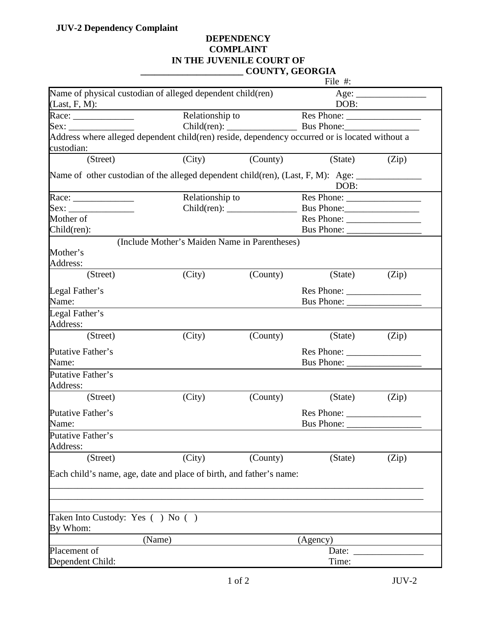## **DEPENDENCY COMPLAINT IN THE JUVENILE COURT OF \_\_\_\_\_\_\_\_\_\_\_\_\_\_\_\_\_\_\_\_\_\_ COUNTY, GEORGIA**

|                                                                                                              |                                               |          | File $#$ :               |                       |
|--------------------------------------------------------------------------------------------------------------|-----------------------------------------------|----------|--------------------------|-----------------------|
| Name of physical custodian of alleged dependent child(ren)                                                   |                                               |          |                          | Age:                  |
| $(Last, F, M)$ :                                                                                             |                                               |          | DOB:                     |                       |
|                                                                                                              | Relationship to                               |          |                          |                       |
| Sex:                                                                                                         |                                               |          |                          |                       |
| Address where alleged dependent child(ren) reside, dependency occurred or is located without a<br>custodian: |                                               |          |                          |                       |
| (Street)                                                                                                     | (City)                                        | (County) | (State)                  | (Zip)                 |
| Name of other custodian of the alleged dependent child(ren), (Last, F, M): Age: ____________________         |                                               |          | DOB:                     |                       |
|                                                                                                              | Relationship to                               |          |                          |                       |
| Sex:                                                                                                         |                                               |          |                          |                       |
| Mother of                                                                                                    |                                               |          |                          |                       |
| Child(ren):                                                                                                  |                                               |          |                          |                       |
| Mother's<br>Address:                                                                                         | (Include Mother's Maiden Name in Parentheses) |          |                          |                       |
| (Street)                                                                                                     | (City)                                        | (County) | (State)                  | (Zip)                 |
| Legal Father's                                                                                               |                                               |          | Res Phone:               |                       |
| Name:                                                                                                        |                                               |          |                          |                       |
| Legal Father's<br>Address:                                                                                   |                                               |          |                          |                       |
| (Street)                                                                                                     | (City)                                        | (County) | (State)                  | (Zip)                 |
| Putative Father's                                                                                            |                                               |          | Res Phone:               |                       |
| Name:                                                                                                        |                                               |          |                          |                       |
| Putative Father's<br>Address:                                                                                |                                               |          |                          |                       |
| (Street)                                                                                                     | (City)                                        | (County) | (State)                  | (Zip)                 |
| Putative Father's<br>Name:                                                                                   |                                               |          | Res Phone:<br>Bus Phone: |                       |
| Putative Father's<br>Address:                                                                                |                                               |          |                          |                       |
| (Street)                                                                                                     | (City)                                        | (County) | (State)                  | (Zip)                 |
| Each child's name, age, date and place of birth, and father's name:                                          |                                               |          |                          |                       |
| Taken Into Custody: Yes () No ()<br>By Whom:                                                                 |                                               |          |                          |                       |
|                                                                                                              | (Name)                                        |          | (Agency)                 |                       |
| Placement of                                                                                                 |                                               |          |                          | Date: $\qquad \qquad$ |
| Dependent Child:                                                                                             |                                               |          | Time:                    |                       |